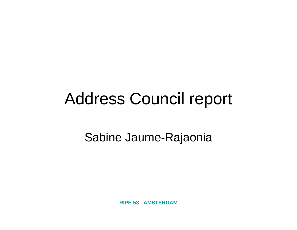## Address Council report

#### Sabine Jaume-Rajaonia

**RIPE 53 - AMSTERDAM**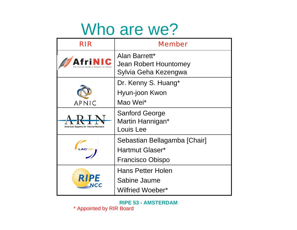#### Who are we?

| RIR                                    | <b>Member</b>                                                              |
|----------------------------------------|----------------------------------------------------------------------------|
|                                        | Alan Barrett*<br>Jean Robert Hountomey<br>Sylvia Geha Kezengwa             |
| <b>APNIC</b>                           | Dr. Kenny S. Huang*<br>Hyun-joon Kwon<br>Mao Wei*                          |
| American Registry for Internet Numbers | <b>Sanford George</b><br>Martin Hannigan*<br>Louis Lee                     |
|                                        | Sebastian Bellagamba [Chair]<br>Hartmut Glaser*<br><b>Francisco Obispo</b> |
| <b>RIPE</b><br>NCC                     | <b>Hans Petter Holen</b><br>Sabine Jaume<br>Wilfried Woeber*               |

**RIPE 53 - AMSTERDAM** \* Appointed by RIR Board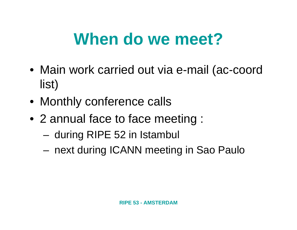# **When do we meet?**

- Main work carried out via e-mail (ac-coord list)
- Monthly conference calls
- 2 annual face to face meeting :
	- –during RIPE 52 in Istambul
	- and the state of the state next during ICANN meeting in Sao Paulo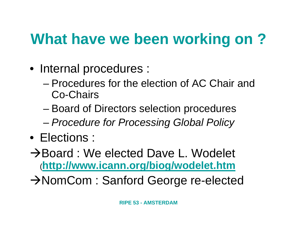#### **What have we been working on ?**

- Internal procedures :
	- Procedures for the election of AC Chair and Co-Chairs
	- and the state of the state Board of Directors selection procedures
	- and the state of the state *Procedure for Processing Global Policy*
- Elections :
- **→Board : We elected Dave L. Wodelet** (**<http://www.icann.org/biog/wodelet.htm>**
- $→$ **NomCom : Sanford George re-elected**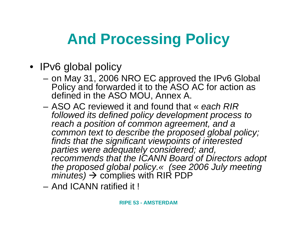## **And Processing Policy**

- IPv6 global policy
	- – on May 31, 2006 NRO EC approved the IPv6 Global Policy and forwarded it to the ASO AC for action as defined in the ASO MOU, Annex A.
	- ASO AC reviewed it and found that « *each RIR followed its defined policy development process to reach a position of common agreement, and a common text to describe the proposed global policy; finds that the significant viewpoints of interested parties were adequately considered; and, recommends that the ICANN Board of Directors adopt the proposed global policy.« (see 2006 July meeting*   $minutes) \rightarrow$  complies with RIR PDP
	- And ICANN ratified it !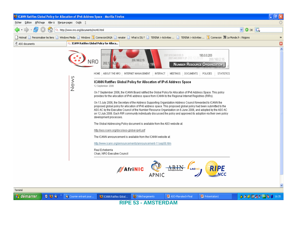

#### **RIPE 53 - AMSTERDAM**